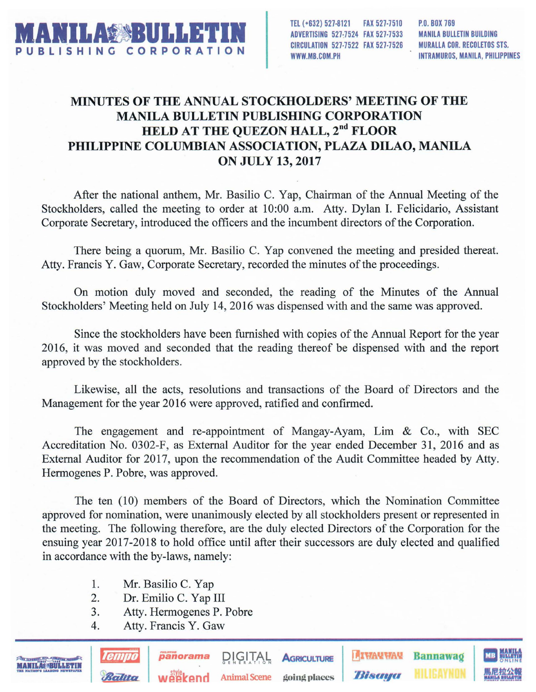

TEl (+632) 527·8121 FAX 527·7510 ADVERTISING 527;7524 FAX 527-7533 CIRCULATION 527·7522 FAX 527·7526 WWW.MB.COM.PH

MANILA BULLETIN BUILDING MURALLA COR. RECOLETOS STS. INTRAMUROS, MANILA, PHILIPPINES

## MINUTES OF THE ANNUAL STOCKHOLDERS' MEETING OF THE MANILA BULLETIN PUBLISHING CORPORATION HELD AT THE QUEZON HALL, 2<sup>nd</sup> FLOOR PHILIPPINE COLUMBIAN ASSOCIATION, PLAZA DILAO, MANILA ON JULY 13, 2017

After the national anthem, Mr. Basilio C. Yap, Chairman of the Annual Meeting of the Stockholders, called the meeting to order at 10:00 a.m. Atty. Dylan I. Felicidario, Assistant Corporate Secretary, introduced the officers and the incumbent directors of the Corporation.

There being a quorum, Mr. Basilio C. Yap convened the meeting and presided thereat. Atty. Francis Y. Gaw, Corporate Secretary, recorded the minutes of the proceedings.

On motion duly moved and seconded, the reading of the Minutes of the Annual Stockholders' Meeting held on July 14,2016 was dispensed with and the same was approved.

Since the stockholders have been furnished with copies of the Annual Report for the year 2016, it was moved and seconded that the reading thereof be dispensed with and the report approved by the stockholders.

Likewise, all the acts, resolutions and transactions of the Board of Directors and the Management for the year 2016 were approved, ratified and confirmed.

The engagement and re-appointment of Mangay-Ayam, Lim & Co., with SEC Accreditation No. 0302-F, as External Auditor for the year ended December 31, 2016 and as External Auditor for 2017, upon the recommendation of the Audit Committee headed by Atty. Hermogenes P. Pobre, was approved.

The ten (l0) members of the Board of Directors, which the Nomination Committee approved for nomination, were unanimously elected by all stockholders present or represented in the meeting. The following therefore, are the duly elected Directors of the Corporation for the ensuing year 2017-2018 to hold office until after their successors are duly elected and qualified in accordance with the by-laws, namely:

- 1. Mr. Basilio C. Yap
- 2. Dr. Emilio C. Yap III
- 3. Atty. Hermogenes P. Pobre
- 4. Atty. Francis Y. Gaw

Ballica

**Panorama** PIPULAL AGRICULTURE **DEATREMENT BALLIANARY ALLIEAYNON** 黑尼拉公報<br>Weekend Animal Scene going places *Bisaya* **HILIEAYNON** 黑尼拉公報

panorama DIGITAL AGRICULTURE **HIWAYWAY Bannawag** MB